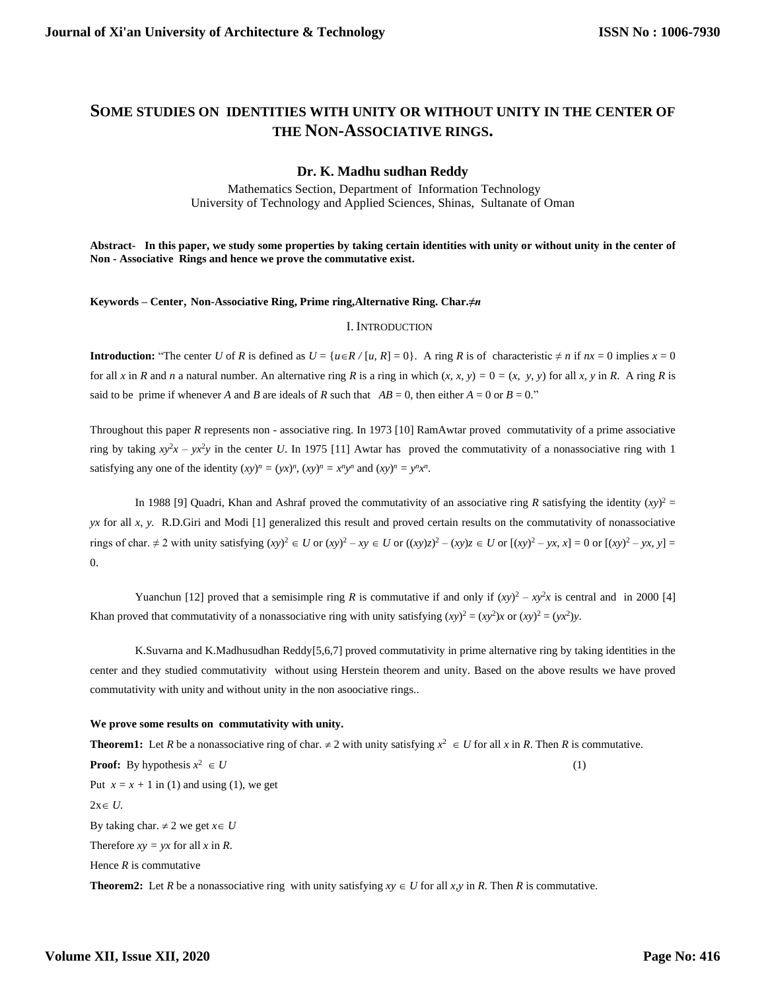# **SOME STUDIES ON IDENTITIES WITH UNITY OR WITHOUT UNITY IN THE CENTER OF THE NON-ASSOCIATIVE RINGS.**

### **Dr. K. Madhu sudhan Reddy**

Mathematics Section, Department of Information Technology University of Technology and Applied Sciences, Shinas, Sultanate of Oman

**Abstract- In this paper, we study some properties by taking certain identities with unity or without unity in the center of Non - Associative Rings and hence we prove the commutative exist.**

**Keywords – Center**, **Non-Associative Ring, Prime ring,Alternative Ring. Char.***≠n*

#### I. INTRODUCTION

**Introduction:** "The center *U* of *R* is defined as  $U = \{u \in R / [u, R] = 0\}$ . A ring *R* is of characteristic  $\neq n$  if  $nx = 0$  implies  $x = 0$ for all x in R and n a natural number. An alternative ring R is a ring in which  $(x, x, y) = 0 = (x, y, y)$  for all x, y in R. A ring R is said to be prime if whenever *A* and *B* are ideals of *R* such that  $AB = 0$ , then either  $A = 0$  or  $B = 0$ ."

Throughout this paper *R* represents non - associative ring. In 1973 [10] RamAwtar proved commutativity of a prime associative ring by taking  $xy^2x - yx^2y$  in the center *U*. In 1975 [11] Awtar has proved the commutativity of a nonassociative ring with 1 satisfying any one of the identity  $(xy)^n = (yx)^n$ ,  $(xy)^n = x^n y^n$  and  $(xy)^n = y^n x^n$ .

In 1988 [9] Quadri, Khan and Ashraf proved the commutativity of an associative ring *R* satisfying the identity  $(xy)^2 =$ *yx* for all *x*, *y.* R.D.Giri and Modi [1] generalized this result and proved certain results on the commutativity of nonassociative rings of char.  $\neq 2$  with unity satisfying  $(xy)^2 \in U$  or  $(xy)^2 - xy \in U$  or  $((xy)z)^2 - (xy)z \in U$  or  $[(xy)^2 - yx, x] = 0$  or  $[(xy)^2 - yx, y] =$ 0.

Yuanchun [12] proved that a semisimple ring *R* is commutative if and only if  $(xy)^2 - xy^2x$  is central and in 2000 [4] Khan proved that commutativity of a nonassociative ring with unity satisfying  $(xy)^2 = (xy^2)x$  or  $(xy)^2 = (yx^2)y$ .

K.Suvarna and K.Madhusudhan Reddy[5,6,7] proved commutativity in prime alternative ring by taking identities in the center and they studied commutativity without using Herstein theorem and unity. Based on the above results we have proved commutativity with unity and without unity in the non asoociative rings..

#### **We prove some results on commutativity with unity.**

**Theorem1:** Let *R* be a nonassociative ring of char.  $\neq 2$  with unity satisfying  $x^2 \in U$  for all *x* in *R*. Then *R* is commutative. **Proof:** By hypothesis  $x^2$  $\in U$  (1) Put  $x = x + 1$  in (1) and using (1), we get  $2x \in U$ . By taking char.  $\neq$  2 we get  $x \in U$ Therefore  $xy = yx$  for all  $x$  in  $R$ . Hence  $R$  is commutative

**Theorem2:** Let *R* be a nonassociative ring with unity satisfying  $xy \in U$  for all  $x, y$  in *R*. Then *R* is commutative.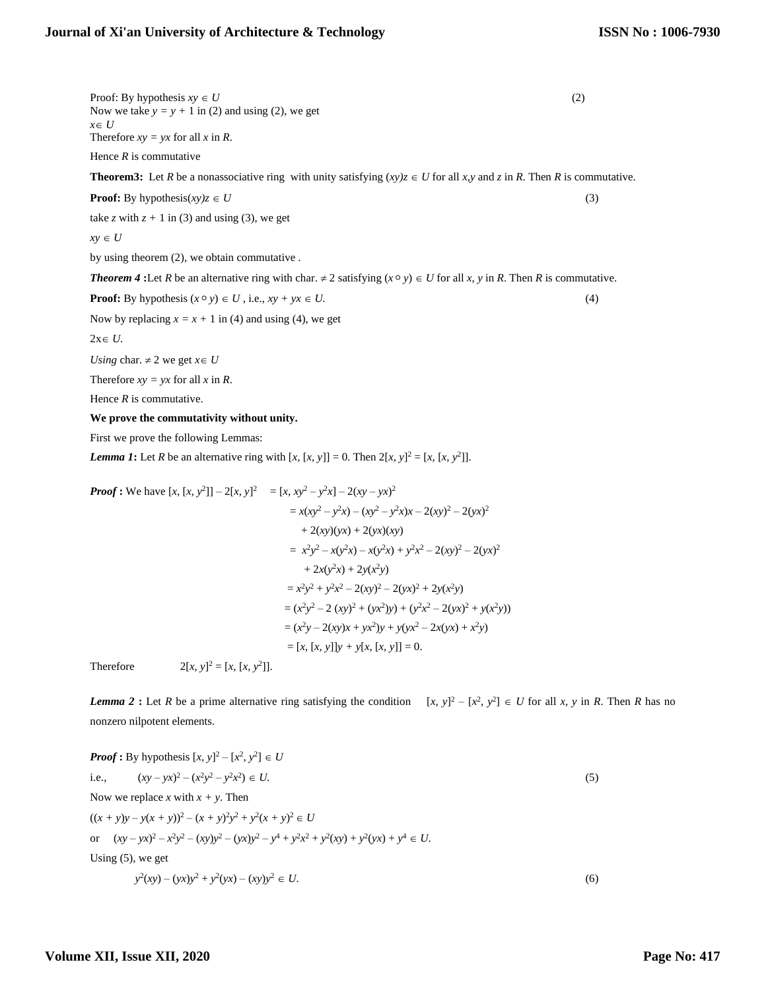Proof: By hypothesis  $xy \in U$  (2) Now we take  $y = y + 1$  in (2) and using (2), we get  $x \in U$ Therefore  $xy = yx$  for all  $x$  in  $R$ .

Hence *R* is commutative

**Theorem3:** Let *R* be a nonassociative ring with unity satisfying  $(xy)z \in U$  for all *x,y* and *z* in *R*. Then *R* is commutative.

**Proof:** By hypothesis(*xy*) $z \in U$  (3)

take *z* with  $z + 1$  in (3) and using (3), we get

 $xy \in U$ 

by using theorem (2), we obtain commutative *.*

## *Theorem 4* :Let *R* be an alternative ring with char.  $\neq 2$  satisfying  $(x \circ y) \in U$  for all *x*, *y* in *R*. Then *R* is commutative.

**Proof:** By hypothesis  $(x \circ y) \in U$ , i.e.,  $xy + yx \in U$ . (4)

Now by replacing  $x = x + 1$  in (4) and using (4), we get

 $2x \in U$ .

*Using char.*  $\neq$  2 we get  $x \in U$ 

Therefore  $xy = yx$  for all  $x$  in  $R$ .

Hence *R* is commutative.

**We prove the commutativity without unity.**

First we prove the following Lemmas:

*Lemma 1***:** Let *R* be an alternative ring with  $[x, [x, y]] = 0$ . Then  $2[x, y]^2 = [x, [x, y^2]]$ .

**Proof :** We have 
$$
[x, [x, y^2]] - 2[x, y]^2
$$
 =  $[x, xy^2 - y^2x] - 2(xy - yx)^2$   
\n=  $x(xy^2 - y^2x) - (xy^2 - y^2x)x - 2(xy)^2 - 2(yx)^2$   
\n+  $2(xy)(yx) + 2(yx)(xy)$   
\n=  $x^2y^2 - x(y^2x) - x(y^2x) + y^2x^2 - 2(xy)^2 - 2(yx)^2$   
\n+  $2x(y^2x) + 2y(x^2y)$   
\n=  $x^2y^2 + y^2x^2 - 2(xy)^2 - 2(yx)^2 + 2y(x^2y)$   
\n=  $(x^2y^2 - 2(xy)^2 + (yx^2)y) + (y^2x^2 - 2(yx)^2 + y(x^2y))$   
\n=  $(x^2y - 2(xy)x + yx^2)y + y(yx^2 - 2x(yx) + x^2y)$   
\n=  $[x, [x, y]]y + y[x, [x, y]] = 0$ .

Therefore 2[*x, y*]  $x^2 = [x, [x, y^2]$  $\Box$ ].

*Lemma 2* : Let *R* be a prime alternative ring satisfying the condition  $[x, y]^2 - [x^2, y^2] \in U$  for all *x*, *y* in *R*. Then *R* has no nonzero nilpotent elements.

 $\sim$ 

**Proof :** By hypothesis 
$$
[x, y]^2 - [x^2, y^2] \in U
$$
  
\ni.e.,  $(xy - yx)^2 - (x^2y^2 - y^2x^2) \in U$ .  
\nNow we replace x with  $x + y$ . Then  
\n $((x + y)y - y(x + y))^2 - (x + y)^2y^2 + y^2(x + y)^2 \in U$   
\nor  $(xy - yx)^2 - x^2y^2 - (xy)y^2 - (yx)y^2 - y^4 + y^2x^2 + y^2(xy) + y^2(yx) + y^4 \in U$ .  
\nUsing (5), we get  
\n $y^2(xy) - (yx)y^2 + y^2(yx) - (xy)y^2 \in U$ . (6)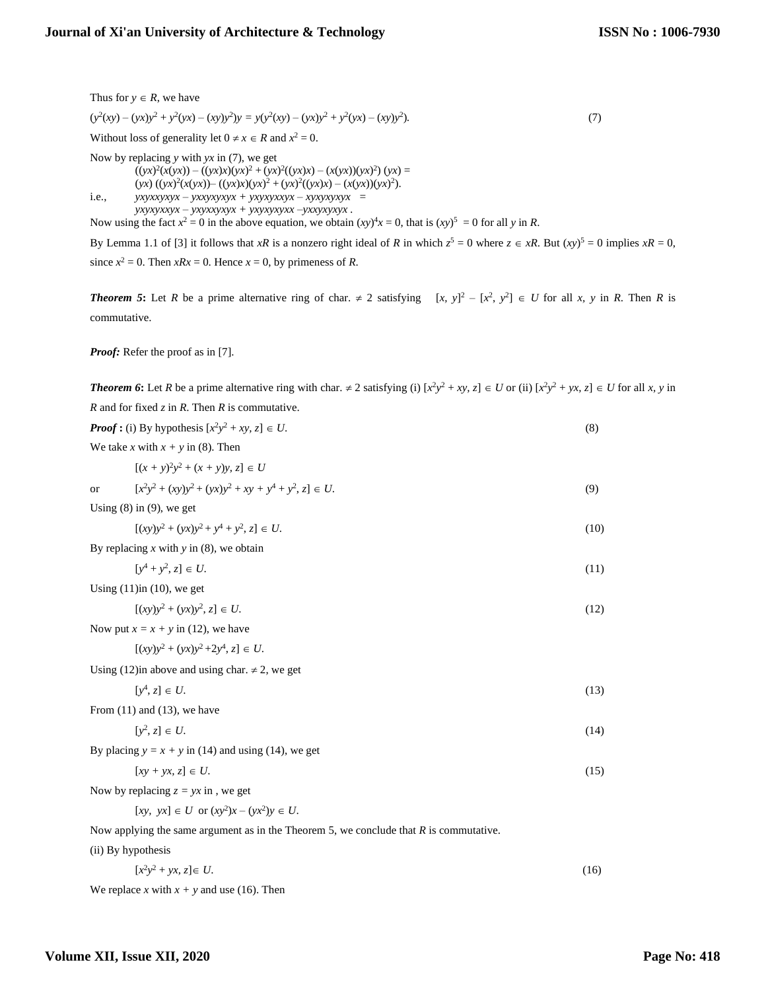$(y^2(xy) - (yx)y^2 + y^2(yx) - (xy)y^2)y = y(y^2(xy) - (yx)y^2 + y^2(yx) - (xy)y^2$ )*.* (7) Without loss of generality let  $0 \neq x \in R$  and  $x^2 = 0$ . Now by replacing *y* with *yx* in (7), we get  $((yx)^2(x(yx)) - ((yx)x)(yx)^2 + (yx)^2((yx)x) - (x(yx))(yx)^2) (yx) =$  $(yx) ((yx)^2(x(yx)) - ((yx)x)(yx)^2 + (yx)^2((yx)x) - (x(yx))(yx)^2$ . i.e.,  $yxyxxyxyx - yxxyxxyxy + yxyxyxxyx - xyxyxyxyxy =$  *yxyxyxxyx – yxyxxyxyx + yxyxyxyxx –yxxyxyxyx .* Now using the fact  $x^2 = 0$  in the above equation, we obtain  $(xy)^4x = 0$ , that is  $(xy)^5 = 0$  for all y in *R*.

By Lemma 1.1 of [3] it follows that *xR* is a nonzero right ideal of *R* in which  $z^5 = 0$  where  $z \in xR$ . But  $(xy)^5 = 0$  implies  $xR = 0$ , since  $x^2 = 0$ . Then  $xRx = 0$ . Hence  $x = 0$ , by primeness of *R*.

*Theorem 5*: Let *R* be a prime alternative ring of char.  $\neq 2$  satisfying  $[x, y]^2 - [x^2, y^2] \in U$  for all *x*, *y* in *R*. Then *R* is commutative.

*Proof:* Refer the proof as in [7].

Thus for  $y \in R$ , we have

*Theorem 6*: Let *R* be a prime alternative ring with char.  $\neq$  2 satisfying (i)  $[x^2y^2 + xy, z] \in U$  or (ii)  $[x^2y^2 + yx, z] \in U$  for all *x*, *y* in *R* and for fixed *z* in *R*. Then *R* is commutative. *Proof* **:** (i) By hypothesis  $[x^2y^2 + xy, z] \in U$ . (8) We take *x* with  $x + y$  in (8). Then  $[(x + y)^2 y^2 + (x + y)y, z] \in U$ or  $[x^2y^2 + (xy)y^2 + (yx)y^2 + xy + y^4 + y^2, z] \in U.$  (9) Using  $(8)$  in  $(9)$ , we get  $[(xy)y^2 + (yx)y^2 + y^4 + y^2]$  $[z, z] \in U.$  (10) By replacing  $x$  with  $y$  in (8), we obtain  $[y^4 + y^2]$  $\{z, z\} \in U.$  (11) Using  $(11)$ in  $(10)$ , we get  $[(xy)y^2 + (yx)y^2]$  $[z, z] \in U.$  (12) Now put  $x = x + y$  in (12), we have  $[(xy)y^2 + (yx)y^2 + 2y^4, z] \in U.$ Using (12)in above and using char.  $\neq$  2, we get [*y* 4 ,  $z \in U$ . (13) From (11) and (13), we have [*y* 2  $\{z, z\} \in U.$  (14) By placing  $y = x + y$  in (14) and using (14), we get  $[xy + yx, z] \in U.$  (15) Now by replacing  $z = yx$  in , we get  $[xy, yx] \in U$  or  $(xy^2)x - (yx^2)y \in U$ . Now applying the same argument as in the Theorem 5, we conclude that *R* is commutative. (ii) By hypothesis  $[x^2y^2 + yx, z] \in U.$  (16) We replace *x* with  $x + y$  and use (16). Then